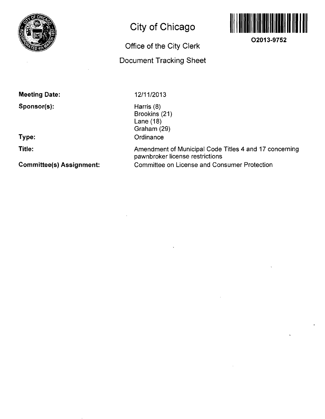

## **City of Chicago**

# **Office of the City Clerk Document Tracking Sheet**



**O2013-9752** 

**Meeting Date:** 

**Sponsor(s):** 

**Type:** 

**Title:** 

**Committee(s) Assignment:** 

12/11/2013

Harris (8) Brookins (21) Lane (18) Graham (29) **Ordinance** 

Amendment of Municipal Code Titles 4 and 17 concerning pawnbroker license restrictions Committee on License and Consumer Protection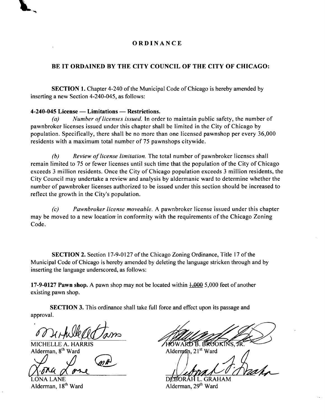### **ORDINANC E**

### **BE IT ORDAINED BY THE CITY COUNCIL OF THE CITY OF CHICAGO:**

SECTION 1. Chapter 4-240 of the Municipal Code of Chicago is hereby amended by inserting a new Section 4-240-045, as follows:

#### **4-240-045 License — Limitations — Restrictions.**

Number of licenses issued. In order to maintain public safety, the number of pawnbroker licenses issued under this chapter shall be limited in the City of Chicago by population. Specifically, there shall be no more than one licensed pawnshop per every 36,000 residents with a maximum total number of 75 pawnshops citywide.

(b) Review of license limitation. The total number of pawnbroker licenses shall remain limited to 75 or fewer licenses until such time that the population of the City of Chicago exceeds 3 million residents. Once the City of Chicago population exceeds 3 million residents, the City Council may undertake a review and analysis by aldermanic ward to determine whether the number of pawnbroker licenses authorized to be issued under this section should be increased to reflect the growth in the City's population.

(c) Pawnbroker license moveable. A pawnbroker license issued under this chapter may be moved to a new location in conformity with the requirements of the Chicago Zoning Code.

SECTION 2. Section 17-9-0127 of the Chicago Zoning Ordinance, Title 17 of the Municipal Code of Chicago is hereby amended by deleting the language stricken through and by inserting the language underscored, as follows:

17-9-0127 Pawn shop. A pawn shop may not be located within 1,000 5,000 feet of another existing pawn shop.

SECTION 3. This ordinance shall take full force and effect upon its passage and approval.

MICHELLE A. HARRIS Alderman, 8<sup>th</sup> Ward

LONA LANE

Alderman, 18<sup>th</sup> Ward

HOWARD B. BROOKINS, JR

Alderman, 21<sup>st</sup> Ward

DÉBORAH L. GRAHAM Alderman, 29<sup>th</sup> Ward